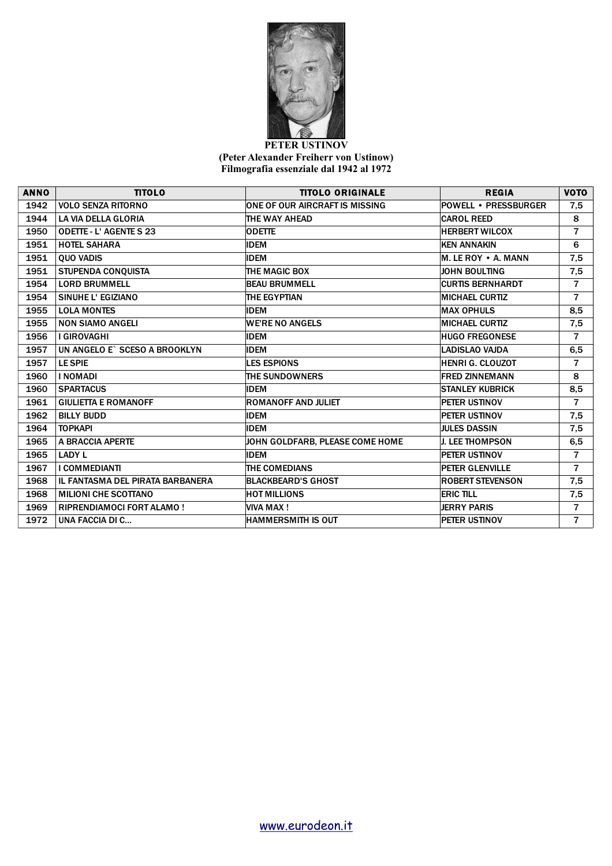

## **PETER USTINOV (Peter Alexander Freiherr von Ustinow) Filmografia essenziale dal 1942 al 1972**

| <b>ANNO</b> | <b>TITOLO</b>                    | <b>TITOLO ORIGINALE</b>               | <b>REGIA</b>                | <b>VOTO</b>    |
|-------------|----------------------------------|---------------------------------------|-----------------------------|----------------|
| 1942        | <b>VOLO SENZA RITORNO</b>        | <b>ONE OF OUR AIRCRAFT IS MISSING</b> | <b>POWELL • PRESSBURGER</b> | 7,5            |
| 1944        | LA VIA DELLA GLORIA              | THE WAY AHEAD                         | <b>CAROL REED</b>           | 8              |
| 1950        | <b>ODETTE - L'AGENTE S 23</b>    | <b>ODETTE</b>                         | <b>HERBERT WILCOX</b>       | $\overline{7}$ |
| 1951        | <b>HOTEL SAHARA</b>              | <b>IDEM</b>                           | <b>KEN ANNAKIN</b>          | 6              |
| 1951        | <b>QUO VADIS</b>                 | <b>IDEM</b>                           | M. LE ROY . A. MANN         | 7,5            |
| 1951        | <b>STUPENDA CONQUISTA</b>        | THE MAGIC BOX                         | <b>JOHN BOULTING</b>        | 7,5            |
| 1954        | <b>LORD BRUMMELL</b>             | <b>BEAU BRUMMELL</b>                  | <b>CURTIS BERNHARDT</b>     | 7              |
| 1954        | SINUHE L' EGIZIANO               | THE EGYPTIAN                          | <b>MICHAEL CURTIZ</b>       | $\overline{7}$ |
| 1955        | <b>LOLA MONTES</b>               | <b>IDEM</b>                           | <b>MAX OPHULS</b>           | 8,5            |
| 1955        | <b>NON SIAMO ANGELI</b>          | <b>WE'RE NO ANGELS</b>                | <b>MICHAEL CURTIZ</b>       | 7,5            |
| 1956        | I GIROVAGHI                      | <b>IDEM</b>                           | <b>HUGO FREGONESE</b>       | $\overline{7}$ |
| 1957        | UN ANGELO E` SCESO A BROOKLYN    | <b>IDEM</b>                           | <b>LADISLAO VAJDA</b>       | 6,5            |
| 1957        | <b>LE SPIE</b>                   | <b>LES ESPIONS</b>                    | <b>HENRI G. CLOUZOT</b>     | $\overline{7}$ |
| 1960        | <b>I NOMADI</b>                  | <b>THE SUNDOWNERS</b>                 | <b>FRED ZINNEMANN</b>       | 8              |
| 1960        | <b>SPARTACUS</b>                 | <b>IDEM</b>                           | <b>STANLEY KUBRICK</b>      | 8,5            |
| 1961        | <b>GIULIETTA E ROMANOFF</b>      | <b>ROMANOFF AND JULIET</b>            | PETER USTINOV               | $\overline{7}$ |
| 1962        | <b>BILLY BUDD</b>                | <b>IDEM</b>                           | PETER USTINOV               | 7,5            |
| 1964        | <b>TOPKAPI</b>                   | <b>IDEM</b>                           | <b>JULES DASSIN</b>         | 7,5            |
| 1965        | A BRACCIA APERTE                 | JOHN GOLDFARB, PLEASE COME HOME       | <b>J. LEE THOMPSON</b>      | 6,5            |
| 1965        | <b>LADY L</b>                    | <b>IDEM</b>                           | PETER USTINOV               | $\overline{7}$ |
| 1967        | I COMMEDIANTI                    | THE COMEDIANS                         | <b>PETER GLENVILLE</b>      | $\overline{7}$ |
| 1968        | IL FANTASMA DEL PIRATA BARBANERA | <b>BLACKBEARD'S GHOST</b>             | <b>ROBERT STEVENSON</b>     | 7,5            |
| 1968        | <b>MILIONI CHE SCOTTANO</b>      | <b>HOT MILLIONS</b>                   | <b>ERIC TILL</b>            | 7,5            |
| 1969        | <b>RIPRENDIAMOCI FORT ALAMO!</b> | <b>VIVA MAX!</b>                      | <b>JERRY PARIS</b>          | $\overline{7}$ |
| 1972        | UNA FACCIA DI C                  | <b>HAMMERSMITH IS OUT</b>             | PETER USTINOV               | $\overline{7}$ |